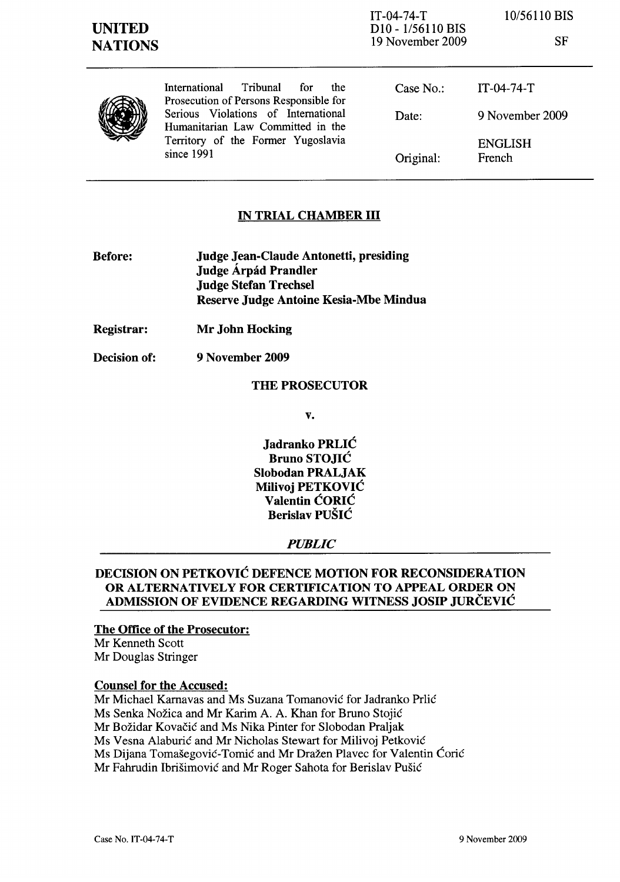IT-04-74-T D10 - 1/56110 BIS 19 November 2009 10/56110 BIS

SF



International Tribunal for the Prosecution of Persons Responsible for Serious Violations of International Humanitarian Law Committed in the Territory of the Former Yugoslavia since 1991

Case No.: Date: Original: IT-04-74-T 9 November 2009 ENGLISH French

## IN TRIAL CHAMBER III

- Before: Judge Jean-Claude Antonetti, presiding Judge Árpád Prandler Judge Stefan Trechsel Reserve Judge Antoine Kesia-Mbe Mindua
- Registrar: Mr John Hocking
- Decision of: 9 November 2009

### THE PROSECUTOR

v.

Jadranko PRLIC Bruno STOJIC Slobodan PRALJAK Milivoj PETKOVIC Valentin CORIC Berislav PUSIC

### *PUBLIC*

## DECISION ON PETKOVIC DEFENCE MOTION FOR RECONSIDERATION OR ALTERNATIVELY FOR CERTIFICATION TO APPEAL ORDER ON ADMISSION OF EVIDENCE REGARDING WITNESS JOSIP JURCEVIC

#### The Office of the Prosecutor:

Mr Kenneth Scott Mr Douglas Stringer

### Counsel for the Accused:

Mr Michael Karnavas and Ms Suzana Tomanovic for ladranko Prlic Ms Senka Nozica and Mr Karim A. A. Khan for Bruno Stojic Mr Bozidar Kovacic and Ms Nika Pinter for Slobodan Praljak Ms Vesna Alaburic and Mr Nicholas Stewart for Milivoj Petkovic Ms Dijana Tomašegović-Tomić and Mr Dražen Plavec for Valentin Ćorić Mr Fahrudin Ibrisimovic and Mr Roger Sahota for Berislav Pusic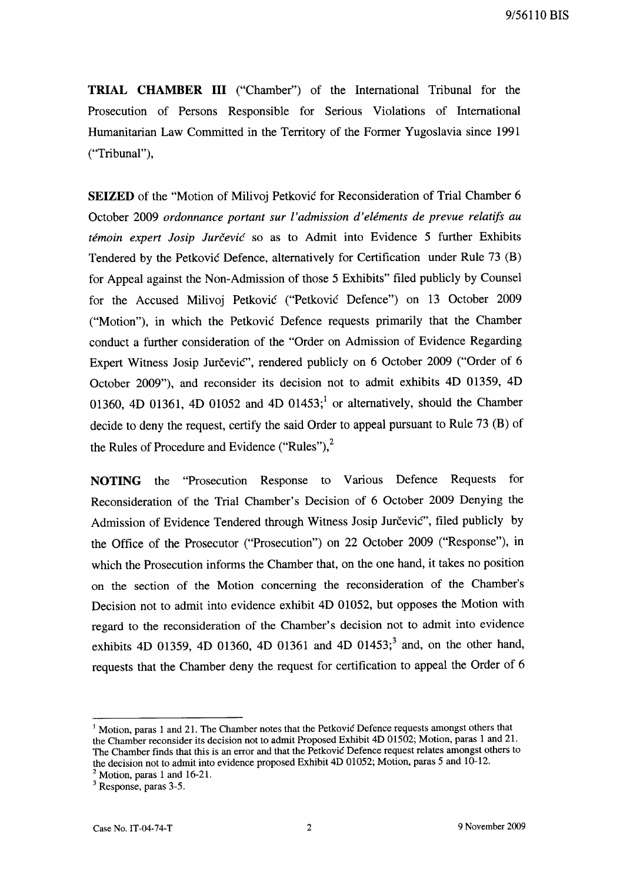**TRIAL CHAMBER III** ("Chamber") of the International Tribunal for the Prosecution of Persons Responsible for Serious Violations of International Humanitarian Law Committed in the Territory of the Former Yugoslavia since 1991 ("Tribunal"),

**SEIZED** of the "Motion of Milivoj Petkovic for Reconsideration of Trial Chamber 6 October 2009 *ordonnance portant sur I' admission d' elements de prevue relatifs au temoin expert Josip Jurcevic* so as to Admit into Evidence 5 further Exhibits Tendered by the Petkovic Defence, alternatively for Certification under Rule 73 (B) for Appeal against the Non-Admission of those 5 Exhibits" filed publicly by Counsel for the Accused Milivoj Petkovic ("Petkovic Defence") on 13 October 2009 ("Motion"), in which the Petkovic Defence requests primarily that the Chamber conduct a further consideration of the "Order on Admission of Evidence Regarding Expert Witness Josip Jurčević", rendered publicly on 6 October 2009 ("Order of 6 October 2009"), and reconsider its decision not to admit exhibits 4D 01359, 4D 01360, 4D 01361, 4D 01052 and 4D 01453;<sup>1</sup> or alternatively, should the Chamber decide to deny the request, certify the said Order to appeal pursuant to Rule 73 (B) of the Rules of Procedure and Evidence ("Rules"), $<sup>2</sup>$ </sup>

**NOTING** the "Prosecution Response to Various Defence Requests for Reconsideration of the Trial Chamber's Decision of 6 October 2009 Denying the Admission of Evidence Tendered through Witness Josip Jurčević", filed publicly by the Office of the Prosecutor ("Prosecution") on 22 October 2009 ("Response"), in which the Prosecution informs the Chamber that, on the one hand, it takes no position on the section of the Motion concerning the reconsideration of the Chamber's Decision not to admit into evidence exhibit 4D 01052, but opposes the Motion with regard to the reconsideration of the Chamber's decision not to admit into evidence exhibits 4D 01359, 4D 01360, 4D 01361 and 4D 01453;<sup>3</sup> and, on the other hand, requests that the Chamber deny the request for certification to appeal the Order of 6

<sup>1</sup> Motion, paras 1 and 21. The Chamber notes that the Petkovic Defence requests amongst others that the Chamber reconsider its decision not to admit Proposed Exhibit 4D 01502; Motion, paras 1 and 21. The Chamber finds that this is an error and that the Petkovic Defence request relates amongst others to the decision not to admit into evidence proposed Exhibit 4D 01052; Motion, paras 5 and 10-12.

 $<sup>2</sup>$  Motion, paras 1 and 16-21.</sup>

<sup>3</sup> Response, paras 3-5.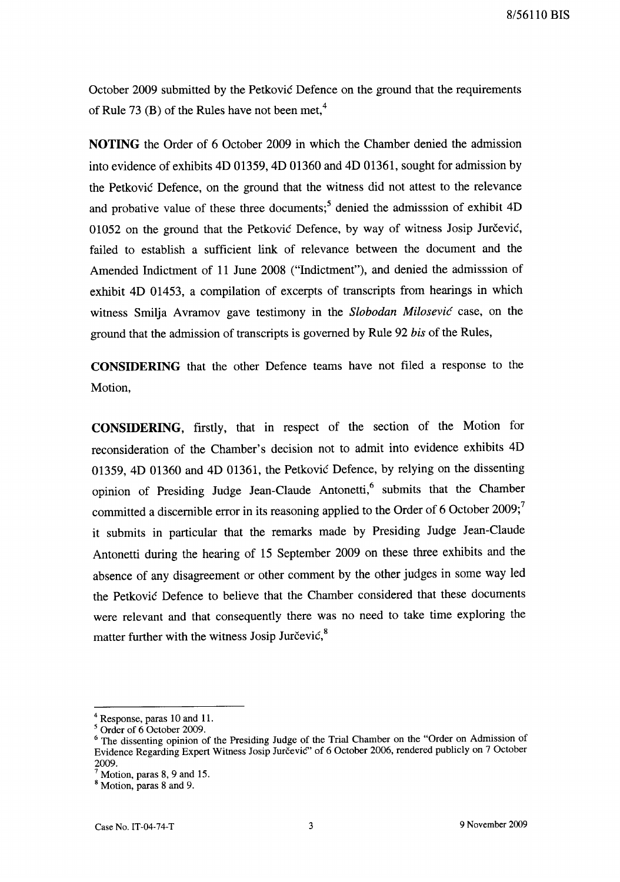October 2009 submitted by the Petkovic Defence on the ground that the requirements of Rule 73 (B) of the Rules have not been met,<sup>4</sup>

**NOTING** the Order of 6 October 2009 in which the Chamber denied the admission into evidence of exhibits 4D 01359, 4D 01360 and 4D 01361, sought for admission by the Petkovic Defence, on the ground that the witness did not attest to the relevance and probative value of these three documents;<sup>5</sup> denied the admisssion of exhibit  $4D$ 01052 on the ground that the Petkovic Defence, by way of witness Josip Jurcevic, failed to establish a sufficient link of relevance between the document and the Amended Indictment of 11 June 2008 ("Indictment"), and denied the admisssion of exhibit 4D 01453, a compilation of excerpts of transcripts from hearings in which witness Smilja A vramov gave testimony in the *Slobodan Milosevic* case, on the ground that the admission of transcripts is governed by Rule 92 *bis* of the Rules,

**CONSIDERING** that the other Defence teams have not filed a response to the Motion,

**CONSIDERING,** firstly, that in respect of the section of the Motion for reconsideration of the Chamber's decision not to admit into evidence exhibits 4D 01359, 4D 01360 and 4D 01361, the Petkovic Defence, by relying on the dissenting opinion of Presiding Judge Jean-Claude Antonetti,<sup>6</sup> submits that the Chamber committed a discernible error in its reasoning applied to the Order of 6 October 2009;<sup>7</sup> it submits in particular that the remarks made by Presiding Judge Jean-Claude Antonetti during the hearing of 15 September 2009 on these three exhibits and the absence of any disagreement or other comment by the other judges in some way led the Petkovic Defence to believe that the Chamber considered that these documents were relevant and that consequently there was no need to take time exploring the matter further with the witness Josip Jurčević, $8$ 

<sup>4</sup> Response, paras 10 and 11.

<sup>5</sup> Order of 6 October 2009.

<sup>&</sup>lt;sup>6</sup> The dissenting opinion of the Presiding Judge of the Trial Chamber on the "Order on Admission of Evidence Regarding Expert Witness Josip Jurcevic" of 6 October 2006, rendered publicly on 7 October 2009.

 $<sup>7</sup>$  Motion, paras 8, 9 and 15.</sup>

<sup>&</sup>lt;sup>8</sup> Motion, paras 8 and 9.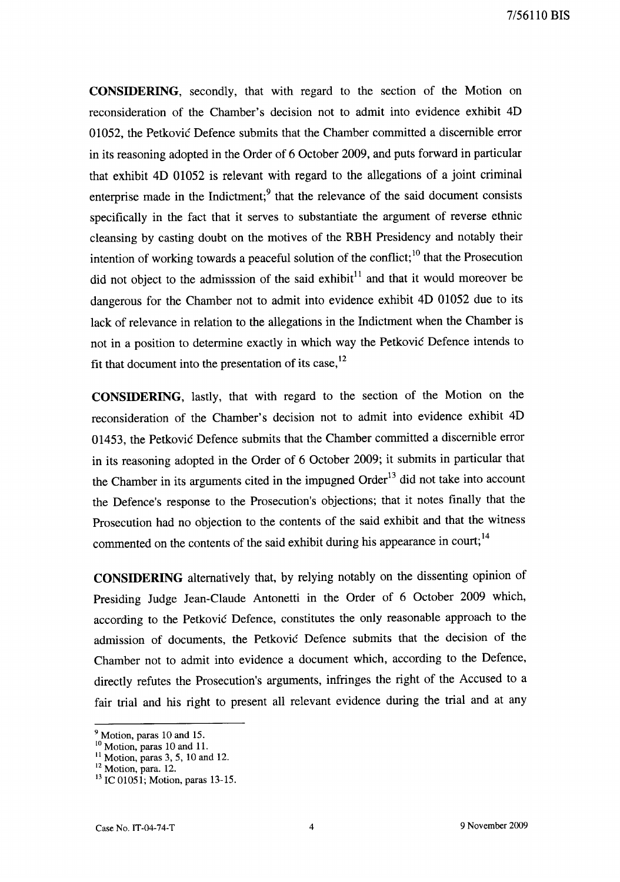CONSIDERING, secondly, that with regard to the section of the Motion on reconsideration of the Chamber's decision not to admit into evidence exhibit 4D 01052, the Petkovic Defence submits that the Chamber committed a discernible error in its reasoning adopted in the Order of 6 October 2009, and puts forward in particular that exhibit 4D 01052 is relevant with regard to the allegations of a joint criminal enterprise made in the Indictment; $9$  that the relevance of the said document consists specifically in the fact that it serves to substantiate the argument of reverse ethnic cleansing by casting doubt on the motives of the RBH Presidency and notably their intention of working towards a peaceful solution of the conflict;<sup>10</sup> that the Prosecution did not object to the admisssion of the said exhibit $11$  and that it would moreover be dangerous for the Chamber not to admit into evidence exhibit 4D 01052 due to its lack of relevance in relation to the allegations in the Indictment when the Chamber is not in a position to determine exactly in which way the Petkovic Defence intends to fit that document into the presentation of its case,  $^{12}$ 

CONSIDERING, lastly, that with regard to the section of the Motion on the reconsideration of the Chamber's decision not to admit into evidence exhibit 4D 01453, the Petkovic Defence submits that the Chamber committed a discernible error in its reasoning adopted in the Order of 6 October 2009; it submits in particular that the Chamber in its arguments cited in the impugned Order<sup>13</sup> did not take into account the Defence's response to the Prosecution's objections; that it notes finally that the Prosecution had no objection to the contents of the said exhibit and that the witness commented on the contents of the said exhibit during his appearance in court;<sup>14</sup>

**CONSIDERING** alternatively that, by relying notably on the dissenting opinion of Presiding Judge Jean-Claude Antonetti in the Order of 6 October 2009 which, according to the Petkovic Defence, constitutes the only reasonable approach to the admission of documents, the Petkovic Defence submits that the decision of the Chamber not to admit into evidence a document which, according to the Defence, directly refutes the Prosecution's arguments, infringes the right of the Accused to a fair trial and his right to present all relevant evidence during the trial and at any

 $<sup>9</sup>$  Motion, paras 10 and 15.</sup>

<sup>&</sup>lt;sup>10</sup> Motion, paras 10 and 11.

 $11$  Motion, paras 3, 5, 10 and 12.

<sup>&</sup>lt;sup>12</sup> Motion, para. 12.

<sup>&</sup>lt;sup>13</sup> IC 01051; Motion, paras 13-15.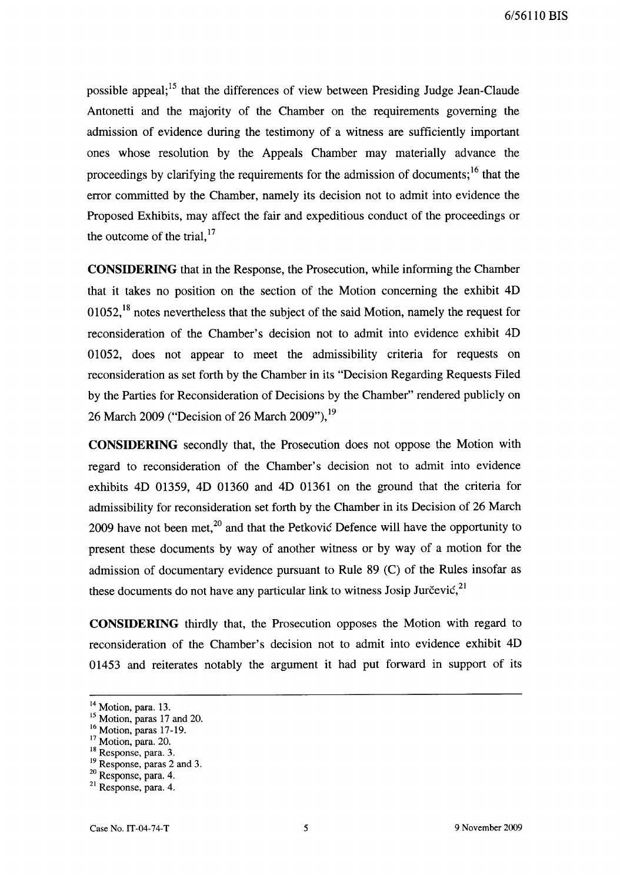possible appeal; 15 that the differences of view between Presiding Judge Jean-Claude Antonetti and the majority of the Chamber on the requirements governing the admission of evidence during the testimony of a witness are sufficiently important ones whose resolution by the Appeals Chamber may materially advance the proceedings by clarifying the requirements for the admission of documents:<sup>16</sup> that the error committed by the Chamber, namely its decision not to admit into evidence the Proposed Exhibits, may affect the fair and expeditious conduct of the proceedings or the outcome of the trial, $17$ 

**CONSIDERING** that in the Response, the Prosecution, while informing the Chamber that it takes no position on the section of the Motion concerning the exhibit 4D 01052.<sup>18</sup> notes nevertheless that the subject of the said Motion, namely the request for reconsideration of the Chamber's decision not to admit into evidence exhibit 4D 01052, does not appear to meet the admissibility criteria for requests on reconsideration as set forth by the Chamber in its "Decision Regarding Requests Filed by the Parties for Reconsideration of Decisions by the Chamber" rendered publicly on 26 March 2009 ("Decision of 26 March 2009"),<sup>19</sup>

**CONSIDERING** secondly that, the Prosecution does not oppose the Motion with regard to reconsideration of the Chamber's decision not to admit into evidence exhibits 4D 01359, 4D 01360 and 4D 01361 on the ground that the criteria for admissibility for reconsideration set forth by the Chamber in its Decision of 26 March 2009 have not been met, $^{20}$  and that the Petkovic Defence will have the opportunity to present these documents by way of another witness or by way of a motion for the admission of documentary evidence pursuant to Rule 89 (C) of the Rules insofar as these documents do not have any particular link to witness Josip Jurčević, $21$ 

**CONSIDERING** thirdly that, the Prosecution opposes the Motion with regard to reconsideration of the Chamber's decision not to admit into evidence exhibit 4D 01453 and reiterates notably the argument it had put forward in support of its

<sup>&</sup>lt;sup>14</sup> Motion, para. 13.

<sup>&</sup>lt;sup>15</sup> Motion, paras 17 and 20.

 $\frac{16}{16}$  Motion, paras 17-19.

<sup>17</sup> Motion, para. 20.

<sup>18</sup> Response, para. 3.

<sup>19</sup> Response, paras 2 and 3.

<sup>20</sup> Response, para. 4.

<sup>21</sup> Response, para. 4.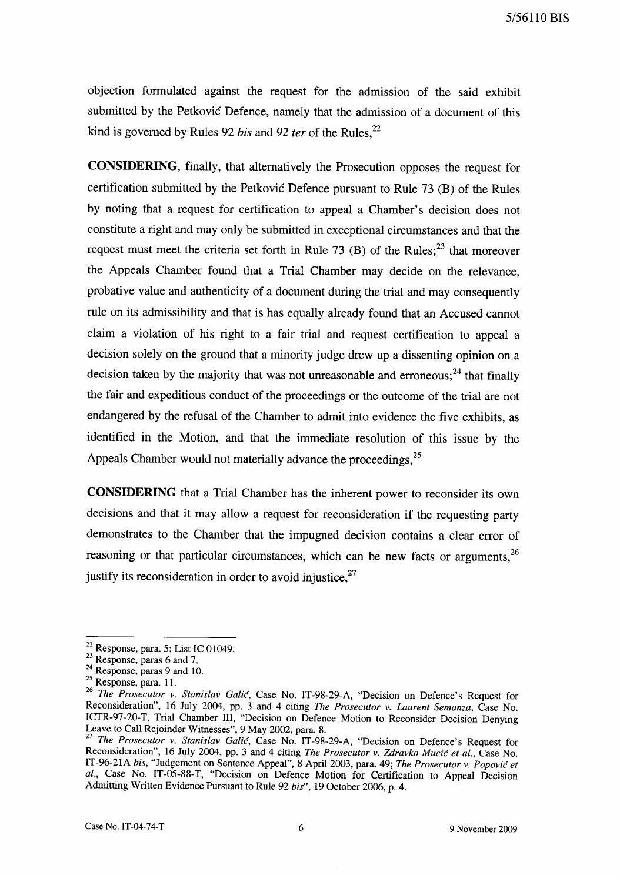objection fonnulated against the request for the admission of the said exhibit submitted by the Petkovic Defence, namely that the admission of a document of this kind is governed by Rules 92 *bis* and 92 *ter* of the Rules.<sup>22</sup>

**CONSIDERING,** finally, that alternatively the Prosecution opposes the request for certification submitted by the Petkovic Defence pursuant to Rule 73 (B) of the Rules by noting that a request for certification to appeal a Chamber's decision does not constitute a right and may only be submitted in exceptional circumstances and that the request must meet the criteria set forth in Rule 73 (B) of the Rules;<sup>23</sup> that moreover the Appeals Chamber found that a Trial Chamber may decide on the relevance, probative value and authenticity of a document during the trial and may consequently rule on its admissibility and that is has equally already found that an Accused cannot claim a violation of his right to a fair trial and request certification to appeal a decision solely on the ground that a minority judge drew up a dissenting opinion on a decision taken by the majority that was not unreasonable and erroneous:  $24$  that finally the fair and expeditious conduct of the proceedings or the outcome of the trial are not endangered by the refusal of the Chamber to admit into evidence the five exhibits, as identified in the Motion, and that the immediate resolution of this issue by the Appeals Chamber would not materially advance the proceedings, <sup>25</sup>

**CONSIDERING** that a Trial Chamber has the inherent power to reconsider its own decisions and that it may allow a request for reconsideration if the requesting party demonstrates to the Chamber that the impugned decision contains a clear error of reasoning or that particular circumstances, which can be new facts or arguments,  $^{26}$ justify its reconsideration in order to avoid injustice,  $27$ 

 $22$  Response, para. 5; List IC 01049.

<sup>&</sup>lt;sup>23</sup> Response, paras 6 and 7.

<sup>&</sup>lt;sup>24</sup> Response, paras 9 and 10.

<sup>&</sup>lt;sup>25</sup> Response, para. 11.

*<sup>26</sup> The Prosecutor v. Stanislav Calic,* Case No. IT-98-29-A, "Decision on Defence's Request for Reconsideration", 16 July 2004, pp. 3 and 4 citing *The Prosecutor v. Laurent Semanza,* Case No. ICTR-97-20-T, Trial Chamber Ill, "Decision on Defence Motion to Reconsider Decision Denying Leave to Call Rejoinder Witnesses", 9 May 2002, para. 8.

<sup>27</sup>*The Prosecutor v. Stanislav Calic,* Case No. IT-98-29-A, "Decision on Defence's Request for Reconsideration", 16 July 2004, pp. 3 and 4 citing *The Prosecutor v. Zdravko Mucic et al.,* Case No. IT-96-21A *bis,* "Judgement on Sentence Appeal", 8 April 2003, para. 49; *The Prosecutor v. Popovic et al.,* Case No. IT-05-88-T, "Decision on Defence Motion for Certification to Appeal Decision Admitting Written Evidence Pursuant to Rule 92 *bis",* 19 October 2006, p. 4.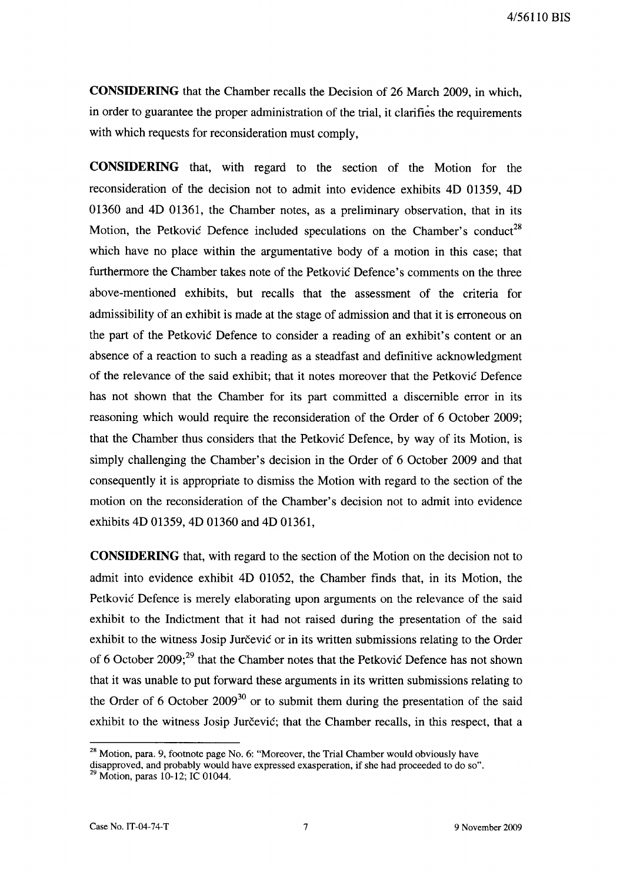**CONSIDERING** that the Chamber recalls the Decision of 26 March 2009, in which, in order to guarantee the proper administration of the trial, it clarifies the requirements with which requests for reconsideration must comply,

**CONSIDERING** that, with regard to the section of the Motion for the reconsideration of the decision not to admit into evidence exhibits 4D 01359, 4D 01360 and 4D 01361, the Chamber notes, as a preliminary observation, that in its Motion, the Petkovic Defence included speculations on the Chamber's conduct<sup>28</sup> which have no place within the argumentative body of a motion in this case; that furthermore the Chamber takes note of the Petkovic Defence's comments on the three above-mentioned exhibits, but recalls that the assessment of the criteria for admissibility of an exhibit is made at the stage of admission and that it is erroneous on the part of the Petkovic Defence to consider a reading of an exhibit's content or an absence of a reaction to such a reading as a steadfast and definitive acknowledgment of the relevance of the said exhibit; that it notes moreover that the Petkovic Defence has not shown that the Chamber for its part committed a discernible error in its reasoning which would require the reconsideration of the Order of 6 October 2009; that the Chamber thus considers that the Petkovic Defence, by way of its Motion, is simply challenging the Chamber's decision in the Order of 6 October 2009 and that consequently it is appropriate to dismiss the Motion with regard to the section of the motion on the reconsideration of the Chamber's decision not to admit into evidence exhibits 4D 01359, 4D 01360 and 4D 01361,

**CONSIDERING** that, with regard to the section of the Motion on the decision not to admit into evidence exhibit 4D 01052, the Chamber finds that, in its Motion, the Petkovic Defence is merely elaborating upon arguments on the relevance of the said exhibit to the Indictment that it had not raised during the presentation of the said exhibit to the witness Josip Jurčević or in its written submissions relating to the Order of 6 October 2009; $^{29}$  that the Chamber notes that the Petkovic Defence has not shown that it was unable to put forward these arguments in its written submissions relating to the Order of 6 October  $2009^{30}$  or to submit them during the presentation of the said exhibit to the witness Josip Jurčević; that the Chamber recalls, in this respect, that a

<sup>&</sup>lt;sup>28</sup> Motion, para. 9, footnote page No. 6: "Moreover, the Trial Chamber would obviously have

disapproved, and probably would have expressed exasperation, if she had proceeded to do so".  $29$  Motion, paras 10-12; IC 01044.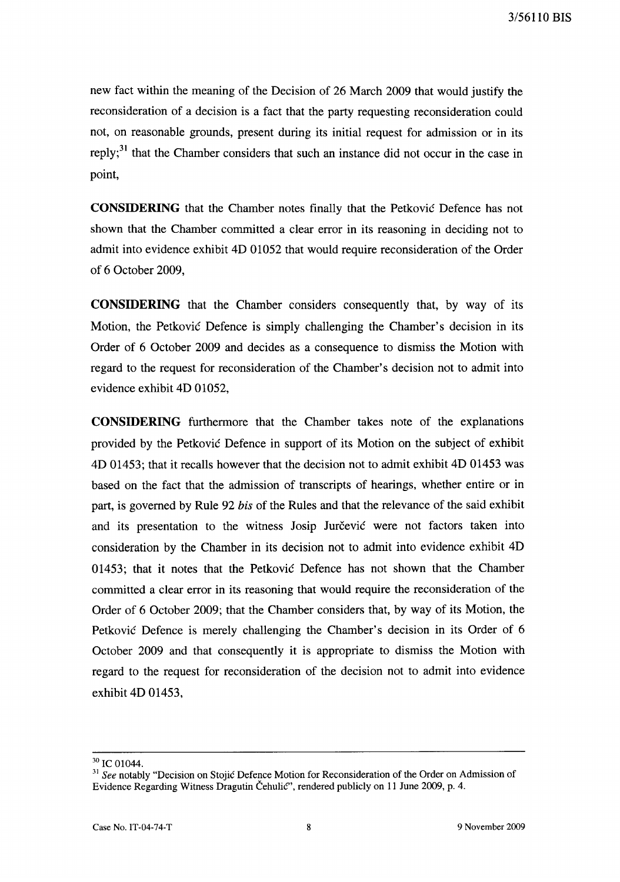new fact within the meaning of the Decision of 26 March 2009 that would justify the reconsideration of a decision is a fact that the party requesting reconsideration could not, on reasonable grounds, present during its initial request for admission or in its reply;<sup>31</sup> that the Chamber considers that such an instance did not occur in the case in point,

**CONSIDERING** that the Chamber notes finally that the Petkovic Defence has not shown that the Chamber committed a clear error in its reasoning in deciding not to admit into evidence exhibit 4D 01052 that would require reconsideration of the Order of 6 October 2009,

**CONSIDERING** that the Chamber considers consequently that, by way of its Motion, the Petkovic Defence is simply challenging the Chamber's decision in its Order of 6 October 2009 and decides as a consequence to dismiss the Motion with regard to the request for reconsideration of the Chamber's decision not to admit into evidence exhibit 4D 01052,

**CONSIDERING** furthermore that the Chamber takes note of the explanations provided by the Petkovic Defence in support of its Motion on the subject of exhibit 4D 01453; that it recalls however that the decision not to admit exhibit 4D 01453 was based on the fact that the admission of transcripts of hearings, whether entire or in part, is governed by Rule 92 *his* of the Rules and that the relevance of the said exhibit and its presentation to the witness Josip Jurčevic were not factors taken into consideration by the Chamber in its decision not to admit into evidence exhibit 4D 01453; that it notes that the Petkovic Defence has not shown that the Chamber committed a clear error in its reasoning that would require the reconsideration of the Order of 6 October 2009; that the Chamber considers that, by way of its Motion, the Petkovic Defence is merely challenging the Chamber's decision in its Order of 6 October 2009 and that consequently it is appropriate to dismiss the Motion with regard to the request for reconsideration of the decision not to admit into evidence exhibit 4D 01453,

<sup>&</sup>lt;sup>30</sup> IC 01044.

<sup>31</sup>*See* notably "Decision on Stojic Defence Motion for Reconsideration of the Order on Admission of Evidence Regarding Witness Dragutin Cehulic", rendered publicly on 11 June 2009, p. 4.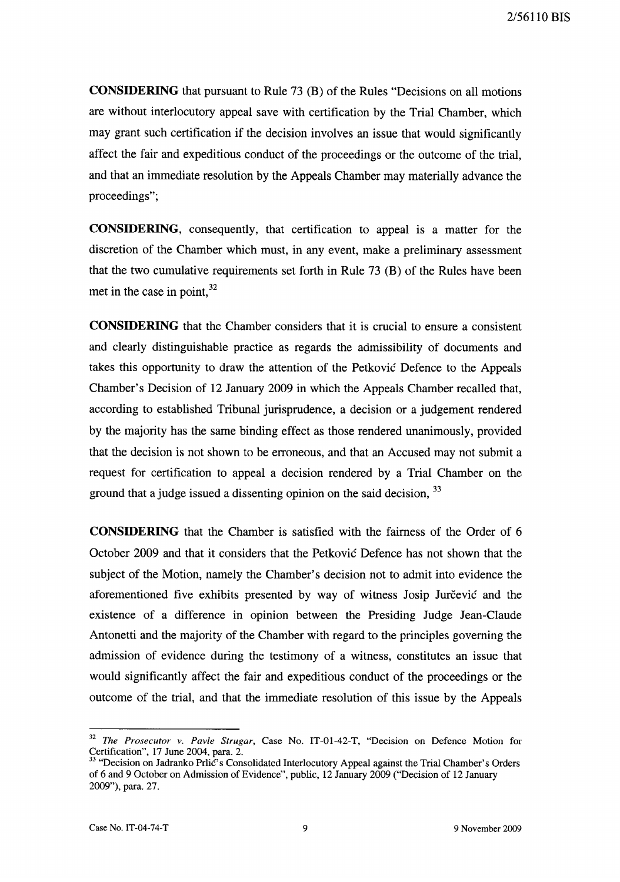**CONSIDERING** that pursuant to Rule 73 (B) of the Rules "Decisions on all motions are without interlocutory appeal save with certification by the Trial Chamber, which may grant such certification if the decision involves an issue that would significantly affect the fair and expeditious conduct of the proceedings or the outcome of the trial, and that an immediate resolution by the Appeals Chamber may materially advance the proceedings";

**CONSIDERING,** consequently, that certification to appeal is a matter for the discretion of the Chamber which must, in any event, make a preliminary assessment that the two cumulative requirements set forth in Rule 73 (B) of the Rules have been met in the case in point. $32$ 

**CONSIDERING** that the Chamber considers that it is crucial to ensure a consistent and clearly distinguishable practice as regards the admissibility of documents and takes this opportunity to draw the attention of the Petkovic Defence to the Appeals Chamber's Decision of 12 January 2009 in which the Appeals Chamber recalled that, according to established Tribunal jurisprudence, a decision or a judgement rendered by the majority has the same binding effect as those rendered unanimously, provided that the decision is not shown to be erroneous, and that an Accused may not submit a request for certification to appeal a decision rendered by a Trial Chamber on the ground that a judge issued a dissenting opinion on the said decision, <sup>33</sup>

**CONSIDERING** that the Chamber is satisfied with the fairness of the Order of 6 October 2009 and that it considers that the Petkovic Defence has not shown that the subject of the Motion, namely the Chamber's decision not to admit into evidence the aforementioned five exhibits presented by way of witness Josip Jurčević and the existence of a difference in opinion between the Presiding Judge Jean-Claude Antonetti and the majority of the Chamber with regard to the principles governing the admission of evidence during the testimony of a witness, constitutes an issue that would significantly affect the fair and expeditious conduct of the proceedings or the outcome of the trial, and that the immediate resolution of this issue by the Appeals

<sup>32</sup>*The Prosecutor v. Pavle Strugar,* Case No. IT-01-42-T, "Decision on Defence Motion for Certification", 17 June 2004, para. 2.

<sup>&</sup>lt;sup>33</sup> "Decision on Jadranko Prlic's Consolidated Interlocutory Appeal against the Trial Chamber's Orders of 6 and 9 October on Admission of Evidence", public, 12 January 2009 ("Decision of 12 January 2009"), para. 27.